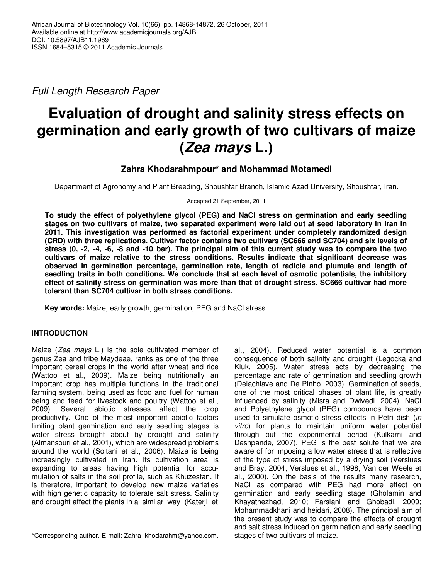Full Length Research Paper

# **Evaluation of drought and salinity stress effects on germination and early growth of two cultivars of maize (Zea mays L.)**

**Zahra Khodarahmpour\* and Mohammad Motamedi** 

Department of Agronomy and Plant Breeding, Shoushtar Branch, Islamic Azad University, Shoushtar, Iran.

Accepted 21 September, 2011

**To study the effect of polyethylene glycol (PEG) and NaCl stress on germination and early seedling stages on two cultivars of maize, two separated experiment were laid out at seed laboratory in Iran in 2011. This investigation was performed as factorial experiment under completely randomized design (CRD) with three replications. Cultivar factor contains two cultivars (SC666 and SC704) and six levels of stress (0, -2, -4, -6, -8 and -10 bar). The principal aim of this current study was to compare the two cultivars of maize relative to the stress conditions. Results indicate that significant decrease was observed in germination percentage, germination rate, length of radicle and plumule and length of seedling traits in both conditions. We conclude that at each level of osmotic potentials, the inhibitory effect of salinity stress on germination was more than that of drought stress. SC666 cultivar had more tolerant than SC704 cultivar in both stress conditions.**

**Key words:** Maize, early growth, germination, PEG and NaCl stress.

## **INTRODUCTION**

Maize (Zea mays L.) is the sole cultivated member of genus Zea and tribe Maydeae, ranks as one of the three important cereal crops in the world after wheat and rice (Wattoo et al., 2009). Maize being nutritionally an important crop has multiple functions in the traditional farming system, being used as food and fuel for human being and feed for livestock and poultry (Wattoo et al., 2009). Several abiotic stresses affect the crop productivity. One of the most important abiotic factors limiting plant germination and early seedling stages is water stress brought about by drought and salinity (Almansouri et al., 2001), which are widespread problems around the world (Soltani et al., 2006). Maize is being increasingly cultivated in Iran. Its cultivation area is expanding to areas having high potential for accumulation of salts in the soil profile, such as Khuzestan. It is therefore, important to develop new maize varieties with high genetic capacity to tolerate salt stress. Salinity and drought affect the plants in a similar way (Katerji et

al., 2004). Reduced water potential is a common consequence of both salinity and drought (Legocka and Kluk, 2005). Water stress acts by decreasing the percentage and rate of germination and seedling growth (Delachiave and De Pinho, 2003). Germination of seeds, one of the most critical phases of plant life, is greatly influenced by salinity (Misra and Dwivedi, 2004). NaCl and Polyethylene glycol (PEG) compounds have been used to simulate osmotic stress effects in Petri dish (in vitro) for plants to maintain uniform water potential through out the experimental period (Kulkarni and Deshpande, 2007). PEG is the best solute that we are aware of for imposing a low water stress that is reflective of the type of stress imposed by a drying soil (Verslues and Bray, 2004; Verslues et al., 1998; Van der Weele et al., 2000). On the basis of the results many research, NaCl as compared with PEG had more effect on germination and early seedling stage (Gholamin and Khayatnezhad, 2010; Farsiani and Ghobadi, 2009; Mohammadkhani and heidari, 2008). The principal aim of the present study was to compare the effects of drought and salt stress induced on germination and early seedling stages of two cultivars of maize.

<sup>\*</sup>Corresponding author. E-mail: Zahra\_khodarahm@yahoo.com.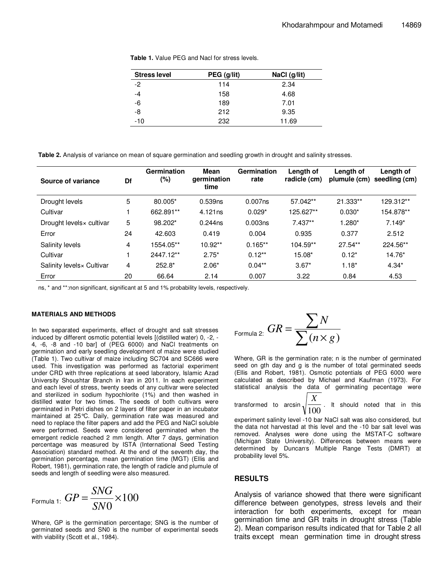**Table 1.** Value PEG and Nacl for stress levels.

| <b>Stress level</b> | PEG (g/lit) | NaCl $(g/lit)$ |
|---------------------|-------------|----------------|
| $-2$                | 114         | 2.34           |
| -4                  | 158         | 4.68           |
| -6                  | 189         | 7.01           |
| -8                  | 212         | 9.35           |
| $-10$               | 232         | 11.69          |

**Table 2.** Analysis of variance on mean of square germination and seedling growth in drought and salinity stresses.

| Source of variance         | Df             | Germination<br>(%) | Mean<br>germination<br>time | Germination<br>rate | Length of<br>radicle (cm) | Length of | Length of<br>plumule (cm) seedling (cm) |
|----------------------------|----------------|--------------------|-----------------------------|---------------------|---------------------------|-----------|-----------------------------------------|
| Drought levels             | 5              | 80.005*            | 0.539ns                     | $0.007$ ns          | 57.042**                  | 21.333**  | 129.312**                               |
| Cultivar                   |                | 662.891**          | 4.121ns                     | $0.029*$            | 125.627**                 | $0.030*$  | 154.878**                               |
| Drought levels x cultivar  | 5              | 98.202*            | 0.244ns                     | 0.003ns             | $7.437**$                 | $1.280*$  | $7.149*$                                |
| Error                      | 24             | 42.603             | 0.419                       | 0.004               | 0.935                     | 0.377     | 2.512                                   |
| <b>Salinity levels</b>     | 4              | 1554.05**          | $10.92**$                   | $0.165**$           | 104.59**                  | 27.54**   | 224.56**                                |
| Cultivar                   |                | 2447.12**          | $2.75*$                     | $0.12***$           | 15.08*                    | $0.12*$   | 14.76*                                  |
| Salinity levels x Cultivar | $\overline{4}$ | $252.8*$           | $2.06*$                     | $0.04***$           | $3.67*$                   | $1.18*$   | $4.34*$                                 |
| Error                      | 20             | 66.64              | 2.14                        | 0.007               | 3.22                      | 0.84      | 4.53                                    |

ns, \* and \*\*:non significant, significant at 5 and 1% probability levels, respectively.

#### **MATERIALS AND METHODS**

In two separated experiments, effect of drought and salt stresses induced by different osmotic potential levels [(distilled water) 0, -2, - 4, -6, -8 and -10 bar] of (PEG 6000) and NaCl treatments on germination and early seedling development of maize were studied (Table 1). Two cultivar of maize including SC704 and SC666 were used. This investigation was performed as factorial experiment under CRD with three replications at seed laboratory, Islamic Azad University Shoushtar Branch in Iran in 2011. In each experiment and each level of stress, twenty seeds of any cultivar were selected and sterilized in sodium hypochlorite (1%) and then washed in distilled water for two times. The seeds of both cultivars were germinated in Petri dishes on 2 layers of filter paper in an incubator maintained at 25°C. Daily, germination rate was measured and need to replace the filter papers and add the PEG and NaCl soluble were performed. Seeds were considered germinated when the emergent redicle reached 2 mm length. After 7 days, germination percentage was measured by ISTA (International Seed Testing Association) standard method. At the end of the seventh day, the germination percentage, mean germination time (MGT) (Ellis and Robert, 1981), germination rate, the length of radicle and plumule of seeds and length of seedling were also measured.

$$
_{\text{Formula 1:}} GP = \frac{SNG}{SNO} \times 100
$$

Where, GP is the germination percentage; SNG is the number of germinated seeds and SN0 is the number of experimental seeds with viability (Scott et al., 1984).

Formula 2: 
$$
GR = \frac{\sum N}{\sum (n \times g)}
$$

Where, GR is the germination rate; n is the number of germinated seed on gth day and g is the number of total germinated seeds (Ellis and Robert, 1981). Osmotic potentials of PEG 6000 were calculated as described by Michael and Kaufman (1973). For statistical analysis the data of germinating pecentage were

transformed to arcsin $\sqrt{\frac{100}{100}}$  $\frac{X}{X}$ . It should noted that in this

experiment salinity level -10 bar NaCl salt was also considered, but the data not harvestad at this level and the -10 bar salt level was removed. Analyses were done using the MSTAT-C software (Michigan State University). Differences between means were determined by Duncan's Multiple Range Tests (DMRT) at probability level 5%.

### **RESULTS**

Analysis of variance showed that there were significant difference between genotypes, stress levels and their interaction for both experiments, except for mean germination time and GR traits in drought stress (Table 2). Mean comparison results indicated that for Table 2 all traits except mean germination time in drought stress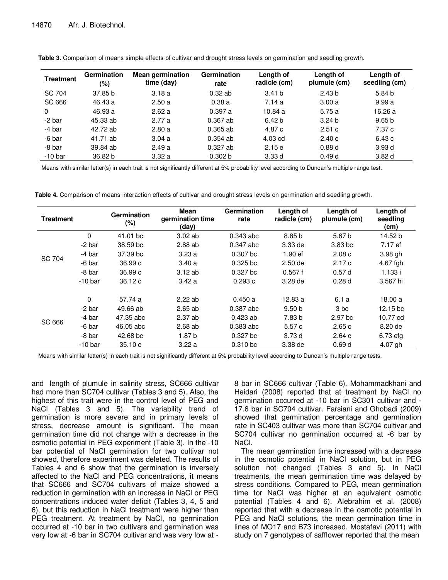| <b>Treatment</b> | <b>Germination</b><br>(%) | <b>Mean germination</b><br>time (day) | Germination<br>rate | Length of<br>radicle (cm) | Length of<br>plumule (cm) | Length of<br>seedling (cm) |
|------------------|---------------------------|---------------------------------------|---------------------|---------------------------|---------------------------|----------------------------|
| SC 704           | 37.85 b                   | 3.18a                                 | $0.32$ ab           | 3.41 <sub>b</sub>         | 2.43 <sub>b</sub>         | 5.84 b                     |
| SC 666           | 46.43 a                   | 2.50a                                 | 0.38a               | 7.14 a                    | 3.00a                     | 9.99a                      |
| 0                | 46.93 a                   | 2.62a                                 | 0.397a              | 10.84a                    | 5.75 a                    | 16.26 a                    |
| -2 bar           | 45.33 ab                  | 2.77a                                 | $0.367$ ab          | 6.42 <sub>b</sub>         | 3.24 <sub>b</sub>         | 9.65 <sub>b</sub>          |
| -4 bar           | 42.72 ab                  | 2.80a                                 | $0.365$ ab          | 4.87 c                    | 2.51c                     | 7.37 c                     |
| -6 bar           | 41.71 ab                  | 3.04a                                 | $0.354$ ab          | 4.03 cd                   | 2.40c                     | 6.43 c                     |
| -8 bar           | 39.84 ab                  | 2.49a                                 | $0.327$ ab          | 2.15e                     | 0.88d                     | 3.93d                      |
| $-10bar$         | 36.82 b                   | 3.32a                                 | 0.302 b             | 3.33d                     | 0.49d                     | 3.82 <sub>d</sub>          |

**Table 3.** Comparison of means simple effects of cultivar and drought stress levels on germination and seedling growth.

Means with similar letter(s) in each trait is not significantly different at 5% probability level according to Duncan's multiple range test.

**Table 4.** Comparison of means interaction effects of cultivar and drought stress levels on germination and seedling growth.

| <b>Treatment</b> |           | <b>Germination</b><br>$(\%)$ | <b>Mean</b><br>germination time<br>(day) | <b>Germination</b><br>rate | Length of<br>radicle (cm) | Length of<br>plumule (cm) | Length of<br>seedling<br>(cm) |
|------------------|-----------|------------------------------|------------------------------------------|----------------------------|---------------------------|---------------------------|-------------------------------|
|                  | 0         | 41.01 bc                     | 3.02ab                                   | $0.343$ abc                | 8.85 <sub>b</sub>         | 5.67 b                    | 14.52 b                       |
|                  | -2 bar    | 38.59 bc                     | 2.88 ab                                  | $0.347$ abc                | 3.33 de                   | 3.83 bc                   | 7.17 ef                       |
|                  | -4 bar    | 37.39 bc                     | 3.23a                                    | $0.307$ bc                 | $1.90$ ef                 | 2.08c                     | $3.98$ gh                     |
| SC 704           | -6 bar    | 36.99c                       | 3.40a                                    | $0.325$ bc                 | $2.50$ de                 | 2.17c                     | 4.67 fgh                      |
|                  | -8 bar    | 36.99c                       | 3.12ab                                   | $0.327$ bc                 | 0.567f                    | 0.57d                     | 1.133 i                       |
|                  | $-10$ bar | 36.12c                       | 3.42a                                    | 0.293c                     | 3.28 de                   | 0.28d                     | 3.567 hi                      |
|                  | 0         | 57.74 a                      | 2.22ab                                   | 0.450a                     | 12.83 a                   | 6.1a                      | 18.00 a                       |
|                  | -2 bar    | 49.66 ab                     | $2.65$ ab                                | 0.387 abc                  | 9.50 <sub>b</sub>         | 3 bc                      | 12.15 bc                      |
| SC 666           | -4 bar    | 47.35 abc                    | 2.37ab                                   | $0.423$ ab                 | 7.83 b                    | 2.97 bc                   | 10.77 cd                      |
|                  | -6 bar    | 46.05 abc                    | 2.68ab                                   | $0.383$ abc                | 5.57c                     | 2.65c                     | 8.20 de                       |
|                  | -8 bar    | 42.68 <sub>bc</sub>          | 1.87 <sub>b</sub>                        | $0.327$ bc                 | 3.73 d                    | 2.64c                     | 6.73 efg                      |
|                  | $-10bar$  | 35.10c                       | 3.22a                                    | $0.310$ bc                 | 3.38 de                   | 0.69d                     | 4.07 gh                       |

Means with similar letter(s) in each trait is not significantly different at 5% probability level according to Duncan's multiple range tests.

and length of plumule in salinity stress, SC666 cultivar had more than SC704 cultivar (Tables 3 and 5). Also, the highest of this trait were in the control level of PEG and NaCl (Tables 3 and 5). The variability trend of germination is more severe and in primary levels of stress, decrease amount is significant. The mean germination time did not change with a decrease in the osmotic potential in PEG experiment (Table 3). In the -10 bar potential of NaCl germination for two cultivar not showed, therefore experiment was deleted. The results of Tables 4 and 6 show that the germination is inversely affected to the NaCl and PEG concentrations, it means that SC666 and SC704 cultivars of maize showed a reduction in germination with an increase in NaCl or PEG concentrations induced water deficit (Tables 3, 4, 5 and 6), but this reduction in NaCl treatment were higher than PEG treatment. At treatment by NaCl, no germination occurred at -10 bar in two cultivars and germination was very low at -6 bar in SC704 cultivar and was very low at -

8 bar in SC666 cultivar (Table 6). Mohammadkhani and Heidari (2008) reported that at treatment by NaCl no germination occurred at -10 bar in SC301 cultivar and - 17.6 bar in SC704 cultivar. Farsiani and Ghobadi (2009) showed that germination percentage and germination rate in SC403 cultivar was more than SC704 cultivar and SC704 cultivar no germination occurred at -6 bar by NaCl.

The mean germination time increased with a decrease in the osmotic potential in NaCl solution, but in PEG solution not changed (Tables 3 and 5). In NaCl treatments, the mean germination time was delayed by stress conditions. Compared to PEG, mean germination time for NaCl was higher at an equivalent osmotic potential (Tables 4 and 6). Alebrahim et al. (2008) reported that with a decrease in the osmotic potential in PEG and NaCl solutions, the mean germination time in lines of MO17 and B73 increased. Mostafavi (2011) with study on 7 genotypes of safflower reported that the mean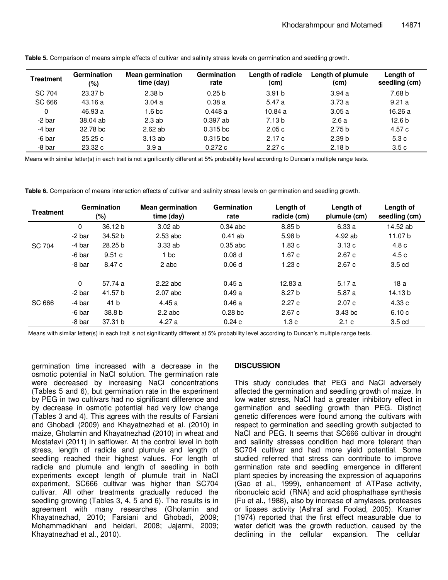| <b>Treatment</b> | Germination<br>(%) | <b>Mean germination</b><br>time (day) | Germination<br>rate | Length of radicle<br>(cm) | Length of plumule<br>(cm) | Length of<br>seedling (cm) |
|------------------|--------------------|---------------------------------------|---------------------|---------------------------|---------------------------|----------------------------|
| SC 704           | 23.37 b            | 2.38 <sub>b</sub>                     | 0.25 <sub>b</sub>   | 3.91 <sub>b</sub>         | 3.94a                     | 7.68 b                     |
| SC 666           | 43.16 a            | 3.04a                                 | 0.38a               | 5.47a                     | 3.73a                     | 9.21a                      |
| $\Omega$         | 46.93 a            | l.6 bc.                               | 0.448a              | 10.84a                    | 3.05a                     | 16.26 a                    |
| -2 bar           | 38.04 ab           | 2.3ab                                 | $0.397$ ab          | 7.13 <sub>b</sub>         | 2.6a                      | 12.6 <sub>b</sub>          |
| -4 bar           | 32.78 bc           | $2.62$ ab                             | $0.315$ bc          | 2.05c                     | 2.75 <sub>b</sub>         | 4.57 c                     |
| -6 bar           | 25.25c             | 3.13ab                                | $0.315$ bc          | 2.17c                     | 2.39 <sub>b</sub>         | 5.3c                       |
| -8 bar           | 23.32 c            | 3.9a                                  | 0.272c              | 2.27c                     | 2.18 <sub>b</sub>         | 3.5c                       |

**Table 5.** Comparison of means simple effects of cultivar and salinity stress levels on germination and seedling growth.

Means with similar letter(s) in each trait is not significantly different at 5% probability level according to Duncan's multiple range tests.

**Table 6.** Comparison of means interaction effects of cultivar and salinity stress levels on germination and seedling growth.

| <b>Treatment</b> | <b>Germination</b><br>(%) |                    | <b>Mean germination</b><br>time (day) | Germination<br>rate | Length of<br>radicle (cm) | Length of<br>plumule (cm) | Length of<br>seedling (cm) |
|------------------|---------------------------|--------------------|---------------------------------------|---------------------|---------------------------|---------------------------|----------------------------|
|                  | 0                         | 36.12 <sub>b</sub> | 3.02ab                                | $0.34$ abc          | 8.85 <sub>b</sub>         | 6.33a                     | 14.52 ab                   |
|                  | -2 bar                    | 34.52 b            | $2.53$ abc                            | $0.41$ ab           | 5.98 <sub>b</sub>         | 4.92 ab                   | 11.07 <sub>b</sub>         |
| SC 704           | -4 bar                    | 28.25 <sub>b</sub> | 3.33ab                                | $0.35$ abc          | 1.83c                     | 3.13c                     | 4.8 <sub>c</sub>           |
|                  | -6 bar                    | 9.51c              | 1 bc                                  | 0.08 <sub>d</sub>   | 1.67c                     | 2.67c                     | 4.5c                       |
|                  | -8 bar                    | 8.47c              | 2 abc                                 | 0.06 <sub>d</sub>   | 1.23c                     | 2.67c                     | 3.5 <sub>cd</sub>          |
|                  | $\mathbf{0}$              | 57.74 a            | $2.22$ abc                            | 0.45a               | 12.83a                    | 5.17a                     | 18 a                       |
|                  | -2 bar                    | 41.57 b            | $2.07$ abc                            | 0.49a               | 8.27 <sub>b</sub>         | 5.87 a                    | 14.13 b                    |
| SC 666           | -4 bar                    | 41 b               | 4.45a                                 | 0.46a               | 2.27c                     | 2.07c                     | 4.33 c                     |
|                  | -6 bar                    | 38.8 b             | $2.2$ abc                             | 0.28 <sub>b</sub>   | 2.67c                     | 3.43 <sub>bc</sub>        | 6.10c                      |
|                  | -8 bar                    | 37.31 b            | 4.27 a                                | 0.24c               | 1.3c                      | 2.1c                      | 3.5 <sub>cd</sub>          |

Means with similar letter(s) in each trait is not significantly different at 5% probability level according to Duncan's multiple range tests.

germination time increased with a decrease in the osmotic potential in NaCl solution. The germination rate were decreased by increasing NaCl concentrations (Tables 5 and 6), but germination rate in the experiment by PEG in two cultivars had no significant difference and by decrease in osmotic potential had very low change (Tables 3 and 4). This agrees with the results of Farsiani and Ghobadi (2009) and Khayatnezhad et al. (2010) in maize, Gholamin and Khayatnezhad (2010) in wheat and Mostafavi (2011) in safflower. At the control level in both stress, length of radicle and plumule and length of seedling reached their highest values. For length of radicle and plumule and length of seedling in both experiments except length of plumule trait in NaCl experiment, SC666 cultivar was higher than SC704 cultivar. All other treatments gradually reduced the seedling growing (Tables 3, 4, 5 and 6). The results is in agreement with many researches (Gholamin and Khayatnezhad, 2010; Farsiani and Ghobadi, 2009; Mohammadkhani and heidari, 2008; Jajarmi, 2009; Khayatnezhad et al., 2010).

## **DISCUSSION**

This study concludes that PEG and NaCl adversely affected the germination and seedling growth of maize. In low water stress, NaCl had a greater inhibitory effect in germination and seedling growth than PEG. Distinct genetic differences were found among the cultivars with respect to germination and seedling growth subjected to NaCl and PEG. It seems that SC666 cultivar in drought and salinity stresses condition had more tolerant than SC704 cultivar and had more yield potential. Some studied referred that stress can contribute to improve germination rate and seedling emergence in different plant species by increasing the expression of aquaporins (Gao et al., 1999), enhancement of ATPase activity, ribonucleic acid (RNA) and acid phosphathase synthesis (Fu et al., 1988), also by increase of amylases, proteases or lipases activity (Ashraf and Foolad, 2005). Kramer (1974) reported that the first effect measurable due to water deficit was the growth reduction, caused by the declining in the cellular expansion. The cellular